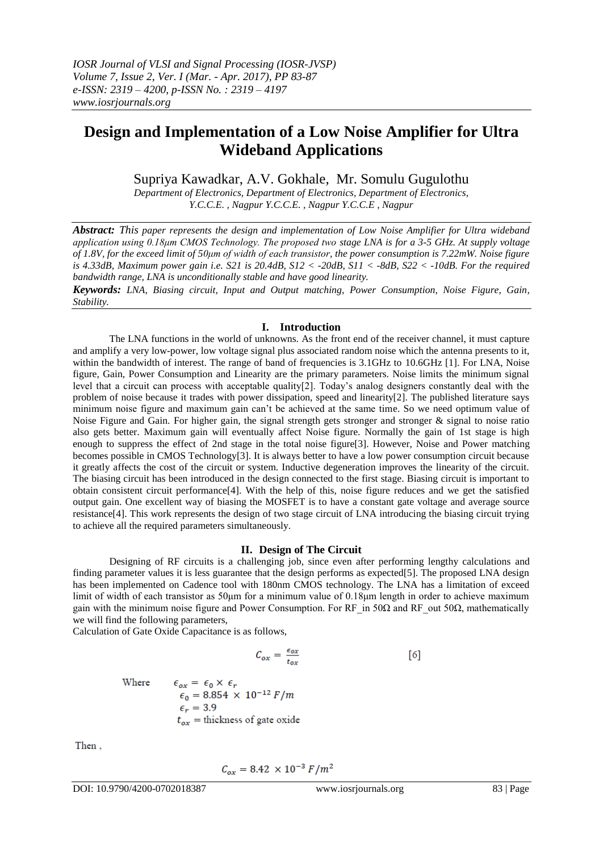# **Design and Implementation of a Low Noise Amplifier for Ultra Wideband Applications**

Supriya Kawadkar, A.V. Gokhale, Mr. Somulu Gugulothu

*Department of Electronics, Department of Electronics, Department of Electronics, Y.C.C.E. , Nagpur Y.C.C.E. , Nagpur Y.C.C.E , Nagpur*

*Abstract: This paper represents the design and implementation of Low Noise Amplifier for Ultra wideband application using 0.18μm CMOS Technology. The proposed two stage LNA is for a 3-5 GHz. At supply voltage of 1.8V, for the exceed limit of 50μm of width of each transistor, the power consumption is 7.22mW. Noise figure is 4.33dB, Maximum power gain i.e. S21 is 20.4dB, S12 < -20dB, S11 < -8dB, S22 < -10dB. For the required bandwidth range, LNA is unconditionally stable and have good linearity.*

*Keywords: LNA, Biasing circuit, Input and Output matching, Power Consumption, Noise Figure, Gain, Stability.*

## **I. Introduction**

The LNA functions in the world of unknowns. As the front end of the receiver channel, it must capture and amplify a very low-power, low voltage signal plus associated random noise which the antenna presents to it, within the bandwidth of interest. The range of band of frequencies is 3.1GHz to 10.6GHz [1]. For LNA, Noise figure, Gain, Power Consumption and Linearity are the primary parameters. Noise limits the minimum signal level that a circuit can process with acceptable quality[2]. Today's analog designers constantly deal with the problem of noise because it trades with power dissipation, speed and linearity[2]. The published literature says minimum noise figure and maximum gain can't be achieved at the same time. So we need optimum value of Noise Figure and Gain. For higher gain, the signal strength gets stronger and stronger & signal to noise ratio also gets better. Maximum gain will eventually affect Noise figure. Normally the gain of 1st stage is high enough to suppress the effect of 2nd stage in the total noise figure[3]. However, Noise and Power matching becomes possible in CMOS Technology[3]. It is always better to have a low power consumption circuit because it greatly affects the cost of the circuit or system. Inductive degeneration improves the linearity of the circuit. The biasing circuit has been introduced in the design connected to the first stage. Biasing circuit is important to obtain consistent circuit performance[4]. With the help of this, noise figure reduces and we get the satisfied output gain. One excellent way of biasing the MOSFET is to have a constant gate voltage and average source resistance[4]. This work represents the design of two stage circuit of LNA introducing the biasing circuit trying to achieve all the required parameters simultaneously.

# **II. Design of The Circuit**

Designing of RF circuits is a challenging job, since even after performing lengthy calculations and finding parameter values it is less guarantee that the design performs as expected[5]. The proposed LNA design has been implemented on Cadence tool with 180nm CMOS technology. The LNA has a limitation of exceed limit of width of each transistor as 50μm for a minimum value of 0.18μm length in order to achieve maximum gain with the minimum noise figure and Power Consumption. For RF in 50 $\Omega$  and RF out 50 $\Omega$ , mathematically we will find the following parameters,

Calculation of Gate Oxide Capacitance is as follows,

$$
C_{ox} = \frac{\epsilon_{ox}}{t_{ox}} \tag{6}
$$

Where  $\epsilon_{ox} = \epsilon_0 \times \epsilon_r$  $\epsilon_0 = 8.854 \times 10^{-12} F/m$  $\epsilon_r = 3.9$  $t_{ox}$  = thickness of gate oxide

Then,

$$
C_{\text{ox}} = 8.42 \times 10^{-3} F/m^2
$$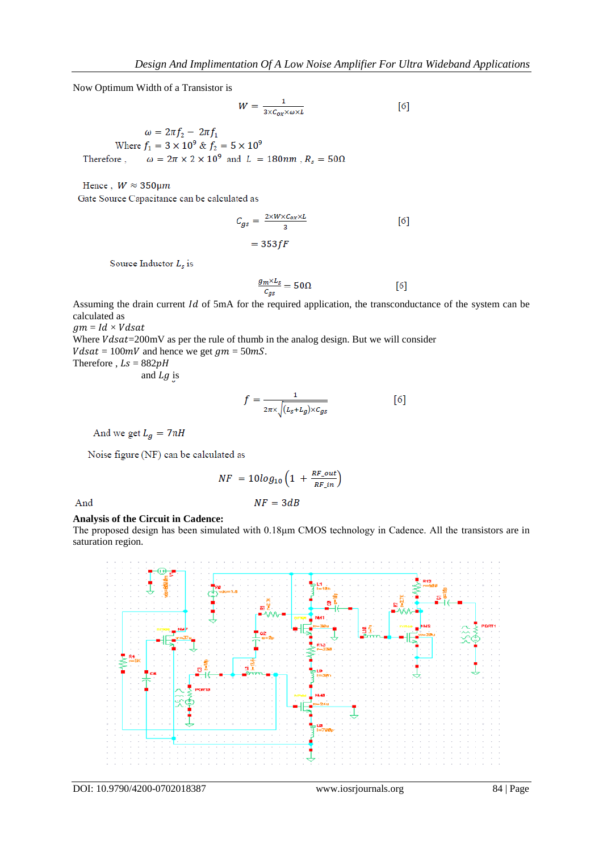Now Optimum Width of a Transistor is

$$
W = \frac{1}{3 \times C_{ox} \times \omega \times L} \tag{6}
$$

 $\omega = 2\pi f_2 - 2\pi f_1$ <br>Where  $f_1 = 3 \times 10^9$  &  $f_2 = 5 \times 10^9$ <br>Therefore,  $\omega = 2\pi \times 2 \times 10^9$  and  $L = 180$ nm,  $R_s = 50\Omega$ 

Hence,  $W \approx 350 \mu m$ Gate Source Capacitance can be calculated as

$$
C_{gs} = \frac{2 \times W \times C_{ox} \times L}{3}
$$
  
= 353 fF (6)

Source Inductor  $L_s$  is

$$
\frac{g_m \times L_s}{c_{gs}} = 50\Omega \tag{6}
$$

Assuming the drain current  $Id$  of 5mA for the required application, the transconductance of the system can be calculated as

 $gm = Id \times Vdsat$ 

Where  $Vdsat = 200$  mV as per the rule of thumb in the analog design. But we will consider  $Vdsat = 100mV$  and hence we get  $gm = 50mS$ . Therefore ,  $Ls = 882pH$ 

and  $Lg$  is

$$
f = \frac{1}{2\pi \times \sqrt{(L_{\rm S} + L_g) \times c_{gs}}} \tag{6}
$$

And we get  $L_g = 7nH$ 

Noise figure (NF) can be calculated as

$$
NF = 10\log_{10}\left(1 + \frac{RF\_out}{RF\_in}\right)
$$

$$
NF = 3dB
$$

And

# **Analysis of the Circuit in Cadence:**

The proposed design has been simulated with 0.18μm CMOS technology in Cadence. All the transistors are in saturation region.

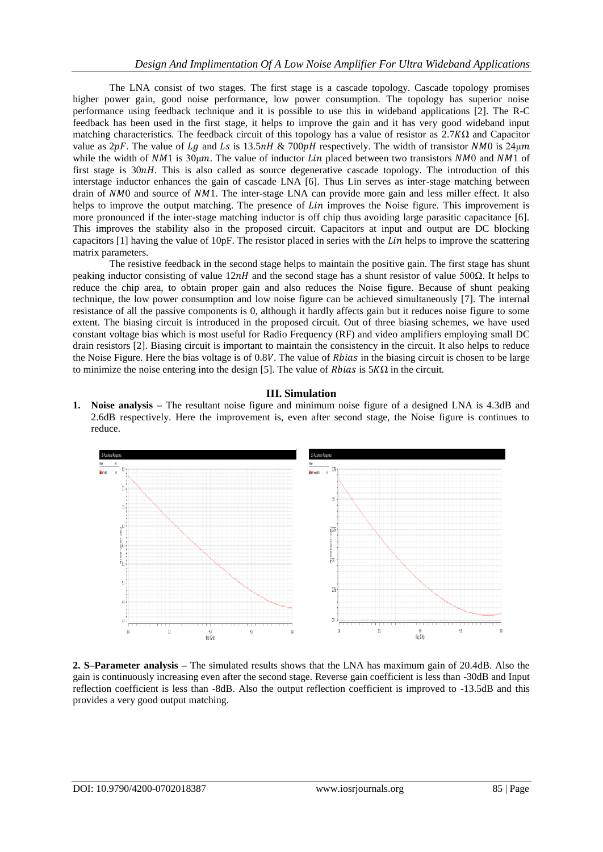The LNA consist of two stages. The first stage is a cascade topology. Cascade topology promises higher power gain, good noise performance, low power consumption. The topology has superior noise performance using feedback technique and it is possible to use this in wideband applications [2]. The R-C feedback has been used in the first stage, it helps to improve the gain and it has very good wideband input matching characteristics. The feedback circuit of this topology has a value of resistor as  $2.7K\Omega$  and Capacitor value as  $2pF$ . The value of Lq and Ls is 13.5  $nH \& 700pH$  respectively. The width of transistor NM0 is 24 $\mu$ m while the width of  $NM1$  is  $30\mu m$ . The value of inductor *Lin* placed between two transistors  $NM0$  and  $NM1$  of first stage is  $30nH$ . This is also called as source degenerative cascade topology. The introduction of this interstage inductor enhances the gain of cascade LNA [6]. Thus Lin serves as inter-stage matching between drain of NM0 and source of NM1. The inter-stage LNA can provide more gain and less miller effect. It also helps to improve the output matching. The presence of *Lin* improves the Noise figure. This improvement is more pronounced if the inter-stage matching inductor is off chip thus avoiding large parasitic capacitance [6]. This improves the stability also in the proposed circuit. Capacitors at input and output are DC blocking capacitors  $[1]$  having the value of  $10pF$ . The resistor placed in series with the *Lin* helps to improve the scattering matrix parameters.

The resistive feedback in the second stage helps to maintain the positive gain. The first stage has shunt peaking inductor consisting of value  $12nH$  and the second stage has a shunt resistor of value 500 $\Omega$ . It helps to reduce the chip area, to obtain proper gain and also reduces the Noise figure. Because of shunt peaking technique, the low power consumption and low noise figure can be achieved simultaneously [7]. The internal resistance of all the passive components is 0, although it hardly affects gain but it reduces noise figure to some extent. The biasing circuit is introduced in the proposed circuit. Out of three biasing schemes, we have used constant voltage bias which is most useful for Radio Frequency (RF) and video amplifiers employing small DC drain resistors [2]. Biasing circuit is important to maintain the consistency in the circuit. It also helps to reduce the Noise Figure. Here the bias voltage is of  $0.8V$ . The value of *Rbias* in the biasing circuit is chosen to be large to minimize the noise entering into the design [5]. The value of *Rbias* is  $5K\Omega$  in the circuit.

# **III. Simulation**

**1. Noise analysis –** The resultant noise figure and minimum noise figure of a designed LNA is 4.3dB and 2.6dB respectively. Here the improvement is, even after second stage, the Noise figure is continues to reduce.



**2. S–Parameter analysis –** The simulated results shows that the LNA has maximum gain of 20.4dB. Also the gain is continuously increasing even after the second stage. Reverse gain coefficient is less than -30dB and Input reflection coefficient is less than -8dB. Also the output reflection coefficient is improved to -13.5dB and this provides a very good output matching.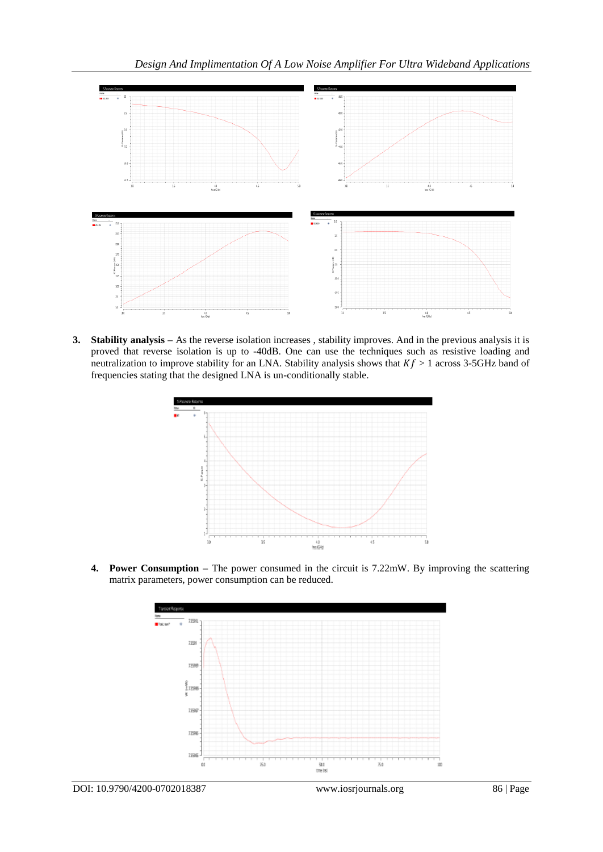

**3. Stability analysis –** As the reverse isolation increases , stability improves. And in the previous analysis it is proved that reverse isolation is up to -40dB. One can use the techniques such as resistive loading and neutralization to improve stability for an LNA. Stability analysis shows that  $Kf > 1$  across 3-5GHz band of frequencies stating that the designed LNA is un-conditionally stable.



**4. Power Consumption –** The power consumed in the circuit is 7.22mW. By improving the scattering matrix parameters, power consumption can be reduced.